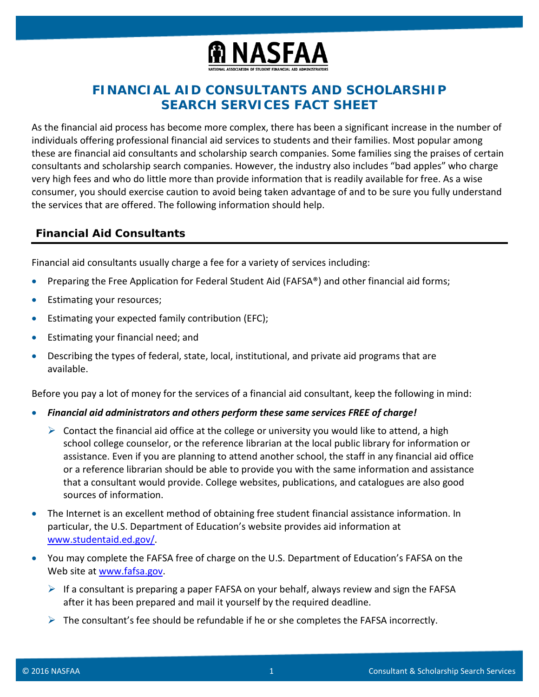

# **FINANCIAL AID CONSULTANTS AND SCHOLARSHIP SEARCH SERVICES FACT SHEET**

As the financial aid process has become more complex, there has been a significant increase in the number of individuals offering professional financial aid services to students and their families. Most popular among these are financial aid consultants and scholarship search companies. Some families sing the praises of certain consultants and scholarship search companies. However, the industry also includes "bad apples" who charge very high fees and who do little more than provide information that is readily available for free. As a wise consumer, you should exercise caution to avoid being taken advantage of and to be sure you fully understand the services that are offered. The following information should help.

## **Financial Aid Consultants**

Financial aid consultants usually charge a fee for a variety of services including:

- Preparing the Free Application for Federal Student Aid (FAFSA®) and other financial aid forms;
- Estimating your resources;
- Estimating your expected family contribution (EFC);
- Estimating your financial need; and
- Describing the types of federal, state, local, institutional, and private aid programs that are available.

Before you pay a lot of money for the services of a financial aid consultant, keep the following in mind:

- *Financial aid administrators and others perform these same services FREE of charge!*
	- $\triangleright$  Contact the financial aid office at the college or university you would like to attend, a high school college counselor, or the reference librarian at the local public library for information or assistance. Even if you are planning to attend another school, the staff in any financial aid office or a reference librarian should be able to provide you with the same information and assistance that a consultant would provide. College websites, publications, and catalogues are also good sources of information.
- The Internet is an excellent method of obtaining free student financial assistance information. In particular, the U.S. Department of Education's website provides aid information at [www.studentaid.ed.gov/.](http://studentaid.ed.gov/)
- You may complete the FAFSA free of charge on the U.S. Department of Education's FAFSA on the Web site at [www.fafsa.gov.](http://www.fafsa.gov/)
	- $\triangleright$  If a consultant is preparing a paper FAFSA on your behalf, always review and sign the FAFSA after it has been prepared and mail it yourself by the required deadline.
	- $\triangleright$  The consultant's fee should be refundable if he or she completes the FAFSA incorrectly.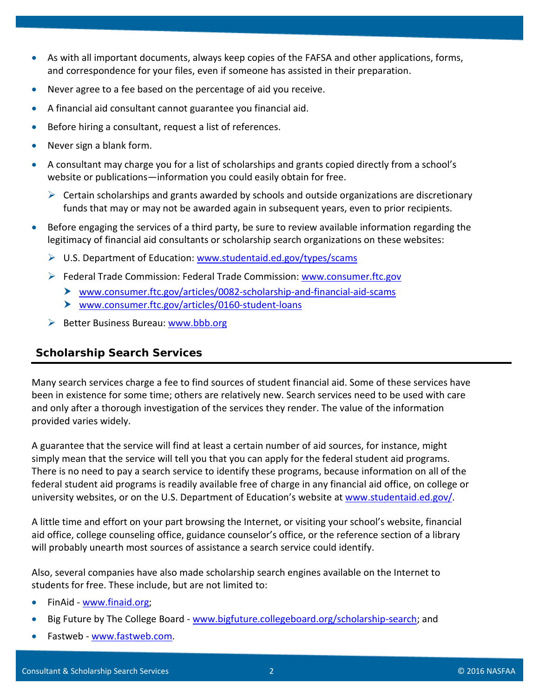- As with all important documents, always keep copies of the FAFSA and other applications, forms, and correspondence for your files, even if someone has assisted in their preparation.
- Never agree to a fee based on the percentage of aid you receive.
- A financial aid consultant cannot guarantee you financial aid.
- Before hiring a consultant, request a list of references.
- Never sign a blank form.
- A consultant may charge you for a list of scholarships and grants copied directly from a school's website or publications—information you could easily obtain for free.
	- $\triangleright$  Certain scholarships and grants awarded by schools and outside organizations are discretionary funds that may or may not be awarded again in subsequent years, even to prior recipients.
- Before engaging the services of a third party, be sure to review available information regarding the legitimacy of financial aid consultants or scholarship search organizations on these websites:
	- $\triangleright$  U.S. Department of Education: [www.studentaid.ed.gov/types/scams](http://studentaid.ed.gov/types/scams)
	- $\triangleright$  Federal Trade Commission: Federal Trade Commission: [www.consumer.ftc.gov](http://www.consumer.ftc.gov/)
		- [www.consumer.ftc.gov/articles/0082-scholarship-and-financial-aid-scams](https://www.consumer.ftc.gov/articles/0082-scholarship-and-financial-aid-scams)
		- [www.consumer.ftc.gov/articles/0160-student-loans](https://www.consumer.ftc.gov/articles/0160-student-loans)
	- $\triangleright$  Better Business Bureau: [www.bbb.org](http://www.bbb.com/)

## **Scholarship Search Services**

Many search services charge a fee to find sources of student financial aid. Some of these services have been in existence for some time; others are relatively new. Search services need to be used with care and only after a thorough investigation of the services they render. The value of the information provided varies widely.

A guarantee that the service will find at least a certain number of aid sources, for instance, might simply mean that the service will tell you that you can apply for the federal student aid programs. There is no need to pay a search service to identify these programs, because information on all of the federal student aid programs is readily available free of charge in any financial aid office, on college or university websites, or on the U.S. Department of Education's website at [www.studentaid.ed.gov/.](http://studentaid.ed.gov/)

A little time and effort on your part browsing the Internet, or visiting your school's website, financial aid office, college counseling office, guidance counselor's office, or the reference section of a library will probably unearth most sources of assistance a search service could identify.

Also, several companies have also made scholarship search engines available on the Internet to students for free. These include, but are not limited to:

- FinAid [www.finaid.org;](http://www.finaid.org/)
- Big Future by The College Board [www.bigfuture.collegeboard.org/scholarship-search;](https://bigfuture.collegeboard.org/scholarship-search) and
- Fastweb [www.fastweb.com.](http://www.fastweb.com/)